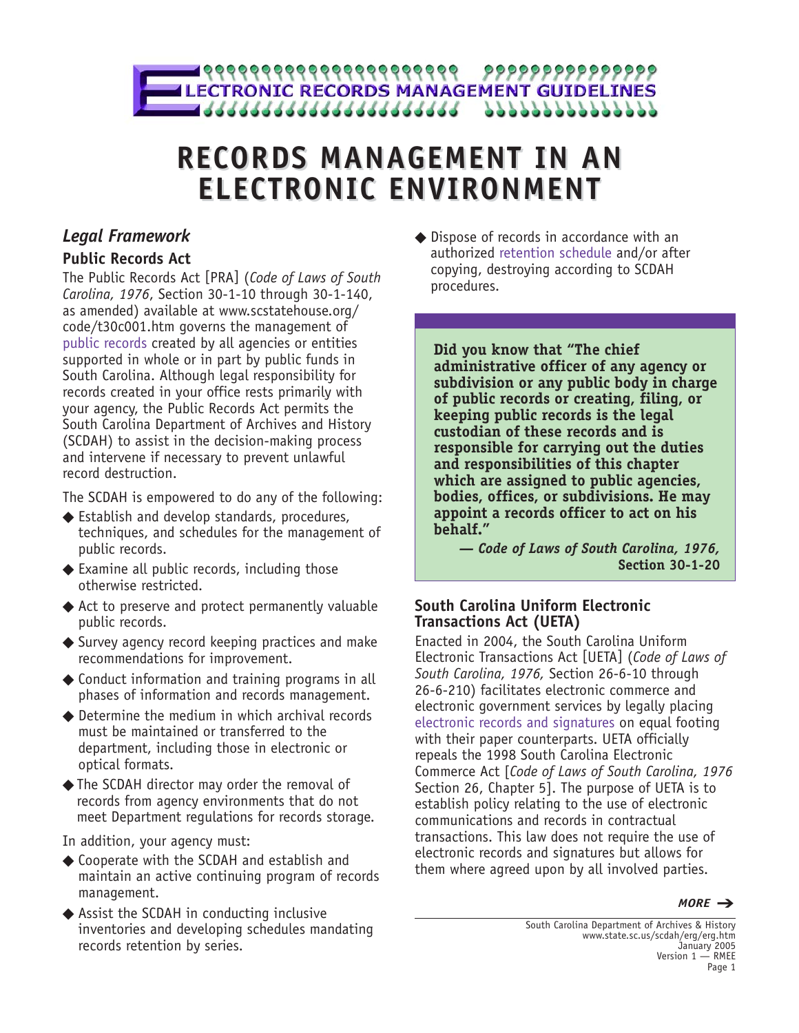

# **RECORDS MANAGEMENT IN AN RECORDS MANAGEMENT IN AN ELECTRONIC ENVIRONMENT ELECTRONIC ENVIRONMENT**

# *Legal Framework*

# **Public Records Act**

The Public Records Act [PRA] (*Code of Laws of South Carolina, 1976*, Section 30-1-10 through 30-1-140, as amended) available at www.scstatehouse.org/ code/t30c001.htm governs the management of public records created by all agencies or entities supported in whole or in part by public funds in South Carolina. Although legal responsibility for records created in your office rests primarily with your agency, the Public Records Act permits the South Carolina Department of Archives and History (SCDAH) to assist in the decision-making process and intervene if necessary to prevent unlawful record destruction.

The SCDAH is empowered to do any of the following:

- ◆ Establish and develop standards, procedures, techniques, and schedules for the management of public records.
- $\blacklozenge$  Examine all public records, including those otherwise restricted.
- ◆ Act to preserve and protect permanently valuable public records.
- ◆ Survey agency record keeping practices and make recommendations for improvement.
- ◆ Conduct information and training programs in all phases of information and records management.
- ◆ Determine the medium in which archival records must be maintained or transferred to the department, including those in electronic or optical formats.
- ◆ The SCDAH director may order the removal of records from agency environments that do not meet Department regulations for records storage.

In addition, your agency must:

- ◆ Cooperate with the SCDAH and establish and maintain an active continuing program of records management.
- ◆ Assist the SCDAH in conducting inclusive inventories and developing schedules mandating records retention by series.

◆ Dispose of records in accordance with an authorized retention schedule and/or after copying, destroying according to SCDAH procedures.

**Did you know that "The chief administrative officer of any agency or subdivision or any public body in charge of public records or creating, filing, or keeping public records is the legal custodian of these records and is responsible for carrying out the duties and responsibilities of this chapter which are assigned to public agencies, bodies, offices, or subdivisions. He may appoint a records officer to act on his behalf."**

*— Code of Laws of South Carolina, 1976,* **Section 30-1-20**

# **South Carolina Uniform Electronic Transactions Act (UETA)**

Enacted in 2004, the South Carolina Uniform Electronic Transactions Act [UETA] (*Code of Laws of South Carolina, 1976,* Section 26-6-10 through 26-6-210) facilitates electronic commerce and electronic government services by legally placing electronic records and signatures on equal footing with their paper counterparts. UETA officially repeals the 1998 South Carolina Electronic Commerce Act [*Code of Laws of South Carolina, 1976* Section 26, Chapter 5]. The purpose of UETA is to establish policy relating to the use of electronic communications and records in contractual transactions. This law does not require the use of electronic records and signatures but allows for them where agreed upon by all involved parties.

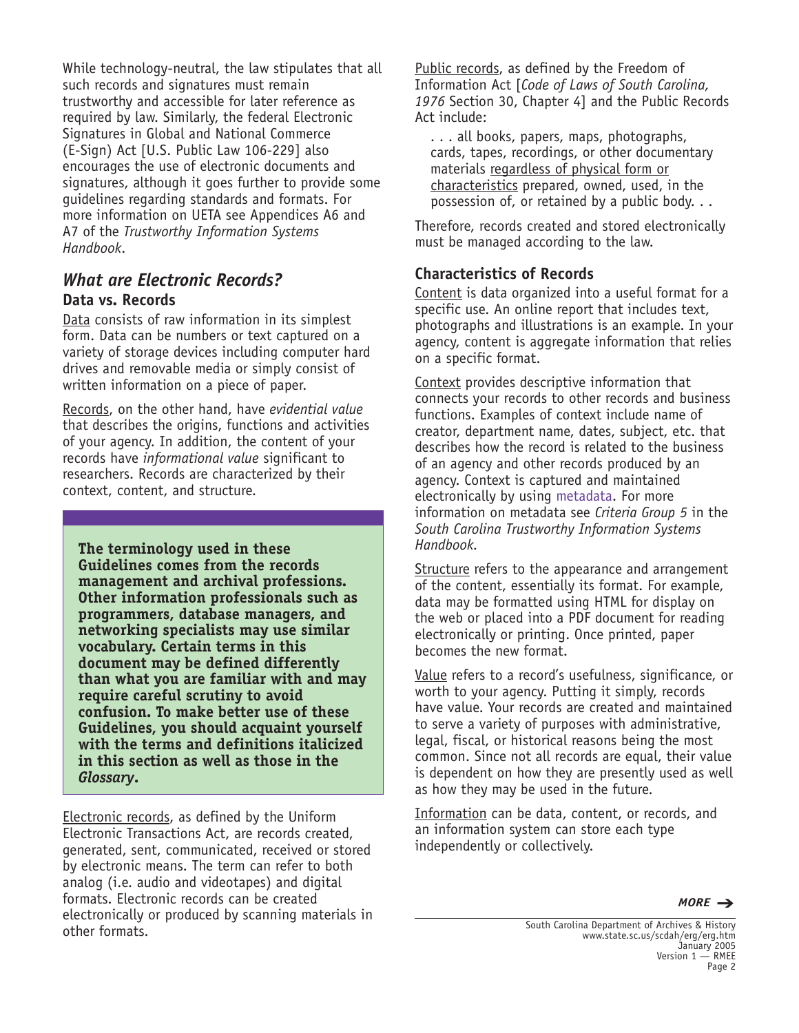While technology-neutral, the law stipulates that all such records and signatures must remain trustworthy and accessible for later reference as required by law. Similarly, the federal Electronic Signatures in Global and National Commerce (E-Sign) Act [U.S. Public Law 106-229] also encourages the use of electronic documents and signatures, although it goes further to provide some guidelines regarding standards and formats. For more information on UETA see Appendices A6 and A7 of the *Trustworthy Information Systems Handbook*.

# *What are Electronic Records?* **Data vs. Records**

Data consists of raw information in its simplest form. Data can be numbers or text captured on a variety of storage devices including computer hard drives and removable media or simply consist of written information on a piece of paper.

Records, on the other hand, have *evidential value* that describes the origins, functions and activities of your agency. In addition, the content of your records have *informational value* significant to researchers. Records are characterized by their context, content, and structure.

**The terminology used in these Guidelines comes from the records management and archival professions. Other information professionals such as programmers, database managers, and networking specialists may use similar vocabulary. Certain terms in this document may be defined differently than what you are familiar with and may require careful scrutiny to avoid confusion. To make better use of these Guidelines, you should acquaint yourself with the terms and definitions italicized in this section as well as those in the** *Glossary***.**

Electronic records, as defined by the Uniform Electronic Transactions Act, are records created, generated, sent, communicated, received or stored by electronic means. The term can refer to both analog (i.e. audio and videotapes) and digital formats. Electronic records can be created electronically or produced by scanning materials in other formats.

Public records, as defined by the Freedom of Information Act [*Code of Laws of South Carolina, 1976* Section 30, Chapter 4] and the Public Records Act include:

. . . all books, papers, maps, photographs, cards, tapes, recordings, or other documentary materials regardless of physical form or characteristics prepared, owned, used, in the possession of, or retained by a public body. . .

Therefore, records created and stored electronically must be managed according to the law.

### **Characteristics of Records**

Content is data organized into a useful format for a specific use. An online report that includes text, photographs and illustrations is an example. In your agency, content is aggregate information that relies on a specific format.

Context provides descriptive information that connects your records to other records and business functions. Examples of context include name of creator, department name, dates, subject, etc. that describes how the record is related to the business of an agency and other records produced by an agency. Context is captured and maintained electronically by using metadata. For more information on metadata see *Criteria Group 5* in the *South Carolina Trustworthy Information Systems Handbook.*

Structure refers to the appearance and arrangement of the content, essentially its format. For example, data may be formatted using HTML for display on the web or placed into a PDF document for reading electronically or printing. Once printed, paper becomes the new format.

Value refers to a record's usefulness, significance, or worth to your agency. Putting it simply, records have value. Your records are created and maintained to serve a variety of purposes with administrative, legal, fiscal, or historical reasons being the most common. Since not all records are equal, their value is dependent on how they are presently used as well as how they may be used in the future.

Information can be data, content, or records, and an information system can store each type independently or collectively.

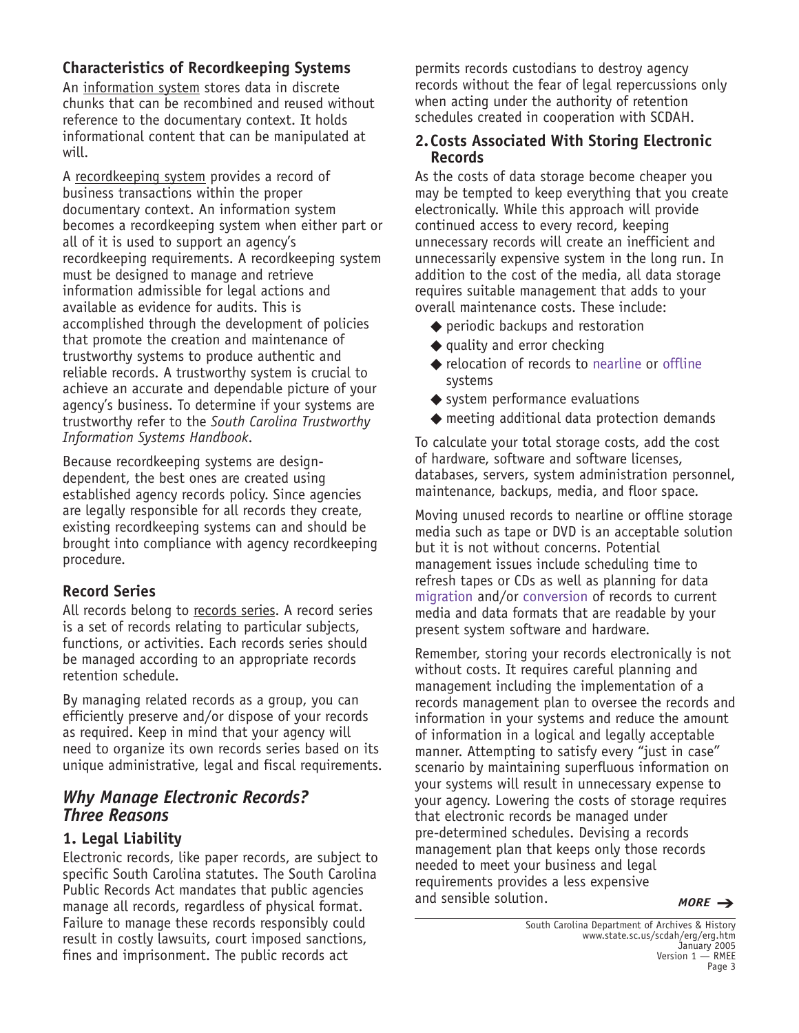# **Characteristics of Recordkeeping Systems**

An information system stores data in discrete chunks that can be recombined and reused without reference to the documentary context. It holds informational content that can be manipulated at will.

A recordkeeping system provides a record of business transactions within the proper documentary context. An information system becomes a recordkeeping system when either part or all of it is used to support an agency's recordkeeping requirements. A recordkeeping system must be designed to manage and retrieve information admissible for legal actions and available as evidence for audits. This is accomplished through the development of policies that promote the creation and maintenance of trustworthy systems to produce authentic and reliable records. A trustworthy system is crucial to achieve an accurate and dependable picture of your agency's business. To determine if your systems are trustworthy refer to the *South Carolina Trustworthy Information Systems Handbook*.

Because recordkeeping systems are designdependent, the best ones are created using established agency records policy. Since agencies are legally responsible for all records they create, existing recordkeeping systems can and should be brought into compliance with agency recordkeeping procedure.

### **Record Series**

All records belong to records series. A record series is a set of records relating to particular subjects, functions, or activities. Each records series should be managed according to an appropriate records retention schedule.

By managing related records as a group, you can efficiently preserve and/or dispose of your records as required. Keep in mind that your agency will need to organize its own records series based on its unique administrative, legal and fiscal requirements.

# *Why Manage Electronic Records? Three Reasons*

### **1. Legal Liability**

Electronic records, like paper records, are subject to specific South Carolina statutes. The South Carolina Public Records Act mandates that public agencies manage all records, regardless of physical format. Failure to manage these records responsibly could result in costly lawsuits, court imposed sanctions, fines and imprisonment. The public records act

permits records custodians to destroy agency records without the fear of legal repercussions only when acting under the authority of retention schedules created in cooperation with SCDAH.

#### **2.Costs Associated With Storing Electronic Records**

As the costs of data storage become cheaper you may be tempted to keep everything that you create electronically. While this approach will provide continued access to every record, keeping unnecessary records will create an inefficient and unnecessarily expensive system in the long run. In addition to the cost of the media, all data storage requires suitable management that adds to your overall maintenance costs. These include:

- ◆ periodic backups and restoration
- $\blacklozenge$  quality and error checking
- ◆ relocation of records to nearline or offline systems
- ◆ system performance evaluations
- ◆ meeting additional data protection demands

To calculate your total storage costs, add the cost of hardware, software and software licenses, databases, servers, system administration personnel, maintenance, backups, media, and floor space.

Moving unused records to nearline or offline storage media such as tape or DVD is an acceptable solution but it is not without concerns. Potential management issues include scheduling time to refresh tapes or CDs as well as planning for data migration and/or conversion of records to current media and data formats that are readable by your present system software and hardware.

Remember, storing your records electronically is not without costs. It requires careful planning and management including the implementation of a records management plan to oversee the records and information in your systems and reduce the amount of information in a logical and legally acceptable manner. Attempting to satisfy every "just in case" scenario by maintaining superfluous information on your systems will result in unnecessary expense to your agency. Lowering the costs of storage requires that electronic records be managed under pre-determined schedules. Devising a records management plan that keeps only those records needed to meet your business and legal requirements provides a less expensive and sensible solution. *MORE* ➔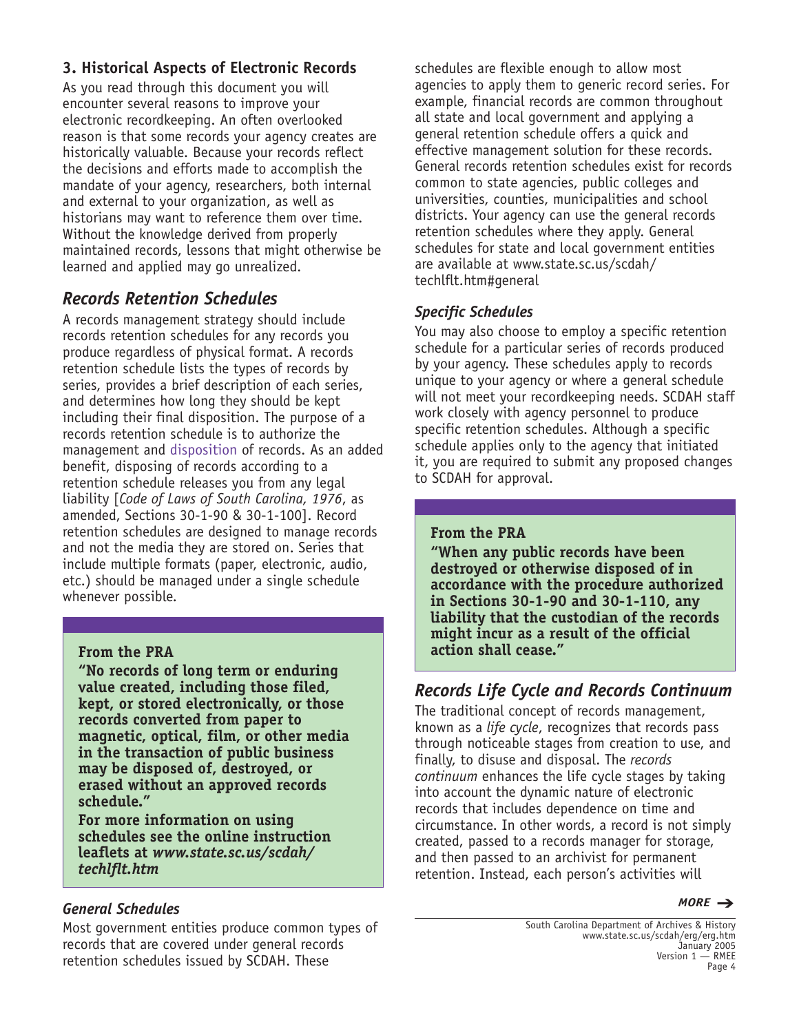# **3. Historical Aspects of Electronic Records**

As you read through this document you will encounter several reasons to improve your electronic recordkeeping. An often overlooked reason is that some records your agency creates are historically valuable. Because your records reflect the decisions and efforts made to accomplish the mandate of your agency, researchers, both internal and external to your organization, as well as historians may want to reference them over time. Without the knowledge derived from properly maintained records, lessons that might otherwise be learned and applied may go unrealized.

# *Records Retention Schedules*

A records management strategy should include records retention schedules for any records you produce regardless of physical format. A records retention schedule lists the types of records by series, provides a brief description of each series, and determines how long they should be kept including their final disposition. The purpose of a records retention schedule is to authorize the management and disposition of records. As an added benefit, disposing of records according to a retention schedule releases you from any legal liability [*Code of Laws of South Carolina, 1976*, as amended, Sections 30-1-90 & 30-1-100]. Record retention schedules are designed to manage records and not the media they are stored on. Series that include multiple formats (paper, electronic, audio, etc.) should be managed under a single schedule whenever possible.

### **From the PRA**

**"No records of long term or enduring value created, including those filed, kept, or stored electronically, or those records converted from paper to magnetic, optical, film, or other media in the transaction of public business may be disposed of, destroyed, or erased without an approved records schedule."**

**For more information on using schedules see the online instruction leaflets at** *www.state.sc.us/scdah/ techlflt.htm*

### *General Schedules*

Most government entities produce common types of records that are covered under general records retention schedules issued by SCDAH. These

schedules are flexible enough to allow most agencies to apply them to generic record series. For example, financial records are common throughout all state and local government and applying a general retention schedule offers a quick and effective management solution for these records. General records retention schedules exist for records common to state agencies, public colleges and universities, counties, municipalities and school districts. Your agency can use the general records retention schedules where they apply. General schedules for state and local government entities are available at www.state.sc.us/scdah/ techlflt.htm#general

### *Specific Schedules*

You may also choose to employ a specific retention schedule for a particular series of records produced by your agency. These schedules apply to records unique to your agency or where a general schedule will not meet your recordkeeping needs. SCDAH staff work closely with agency personnel to produce specific retention schedules. Although a specific schedule applies only to the agency that initiated it, you are required to submit any proposed changes to SCDAH for approval.

### **From the PRA**

**"When any public records have been destroyed or otherwise disposed of in accordance with the procedure authorized in Sections 30-1-90 and 30-1-110, any liability that the custodian of the records might incur as a result of the official action shall cease."**

# *Records Life Cycle and Records Continuum*

The traditional concept of records management, known as a *life cycle*, recognizes that records pass through noticeable stages from creation to use, and finally, to disuse and disposal. The *records continuum* enhances the life cycle stages by taking into account the dynamic nature of electronic records that includes dependence on time and circumstance. In other words, a record is not simply created, passed to a records manager for storage, and then passed to an archivist for permanent retention. Instead, each person's activities will

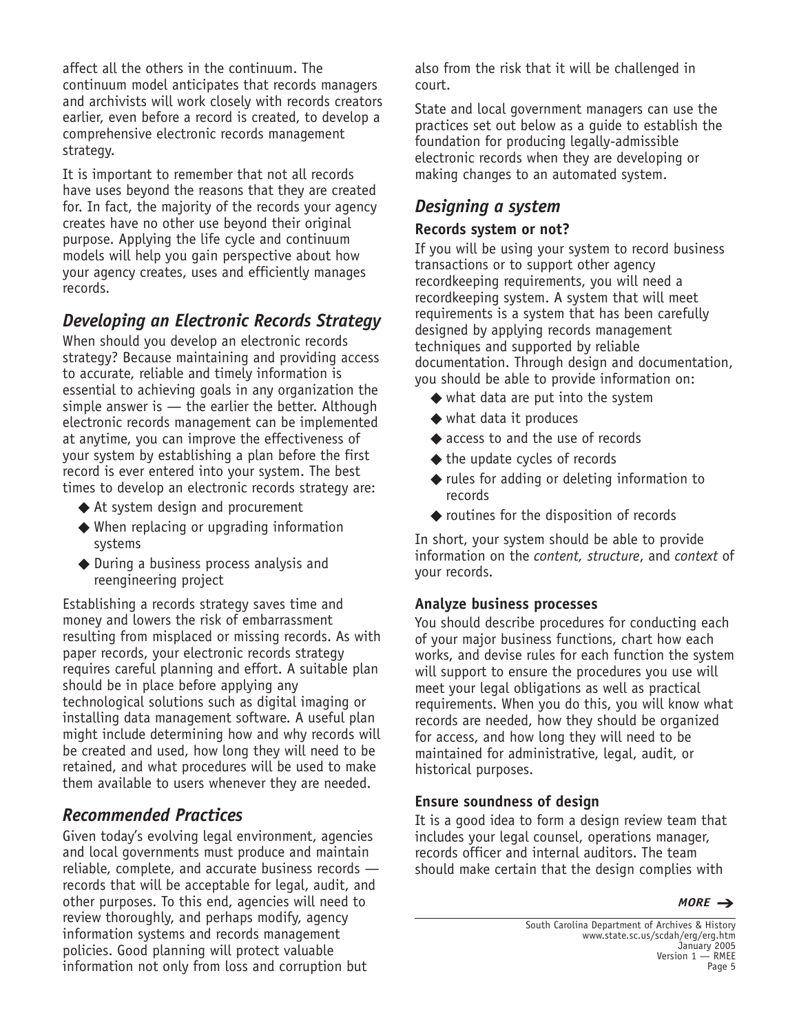affect all the others in the continuum. The continuum model anticipates that records managers and archivists will work closely with records creators earlier, even before a record is created, to develop a comprehensive electronic records management strategy.

It is important to remember that not all records have uses beyond the reasons that they are created for. In fact, the majority of the records your agency creates have no other use beyond their original purpose. Applying the life cycle and continuum models will help you gain perspective about how your agency creates, uses and efficiently manages records.

# *Developing an Electronic Records Strategy*

When should you develop an electronic records strategy? Because maintaining and providing access to accurate, reliable and timely information is essential to achieving goals in any organization the simple answer is — the earlier the better. Although electronic records management can be implemented at anytime, you can improve the effectiveness of your system by establishing a plan before the first record is ever entered into your system. The best times to develop an electronic records strategy are:

- ◆ At system design and procurement
- ◆ When replacing or upgrading information systems
- ◆ During a business process analysis and reengineering project

Establishing a records strategy saves time and money and lowers the risk of embarrassment resulting from misplaced or missing records. As with paper records, your electronic records strategy requires careful planning and effort. A suitable plan should be in place before applying any technological solutions such as digital imaging or installing data management software. A useful plan might include determining how and why records will be created and used, how long they will need to be retained, and what procedures will be used to make them available to users whenever they are needed.

# *Recommended Practices*

Given today's evolving legal environment, agencies and local governments must produce and maintain reliable, complete, and accurate business records records that will be acceptable for legal, audit, and other purposes. To this end, agencies will need to review thoroughly, and perhaps modify, agency information systems and records management policies. Good planning will protect valuable information not only from loss and corruption but

also from the risk that it will be challenged in court.

State and local government managers can use the practices set out below as a guide to establish the foundation for producing legally-admissible electronic records when they are developing or making changes to an automated system.

# *Designing a system*

#### **Records system or not?**

If you will be using your system to record business transactions or to support other agency recordkeeping requirements, you will need a recordkeeping system. A system that will meet requirements is a system that has been carefully designed by applying records management techniques and supported by reliable documentation. Through design and documentation, you should be able to provide information on:

- $\blacklozenge$  what data are put into the system
- ◆ what data it produces
- ◆ access to and the use of records
- ◆ the update cycles of records
- ◆ rules for adding or deleting information to records
- ◆ routines for the disposition of records

In short, your system should be able to provide information on the *content, structure*, and *context* of your records.

#### **Analyze business processes**

You should describe procedures for conducting each of your major business functions, chart how each works, and devise rules for each function the system will support to ensure the procedures you use will meet your legal obligations as well as practical requirements. When you do this, you will know what records are needed, how they should be organized for access, and how long they will need to be maintained for administrative, legal, audit, or historical purposes.

#### **Ensure soundness of design**

It is a good idea to form a design review team that includes your legal counsel, operations manager, records officer and internal auditors. The team should make certain that the design complies with

*MORE* ➔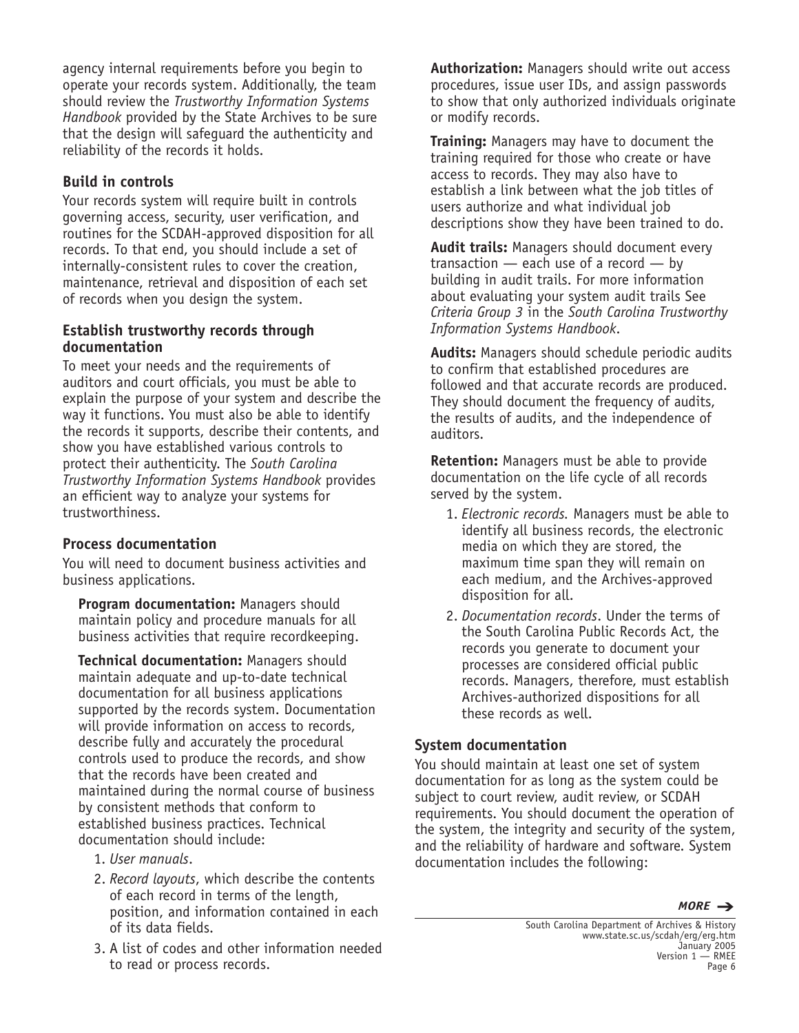agency internal requirements before you begin to operate your records system. Additionally, the team should review the *Trustworthy Information Systems Handbook* provided by the State Archives to be sure that the design will safeguard the authenticity and reliability of the records it holds.

### **Build in controls**

Your records system will require built in controls governing access, security, user verification, and routines for the SCDAH-approved disposition for all records. To that end, you should include a set of internally-consistent rules to cover the creation, maintenance, retrieval and disposition of each set of records when you design the system.

#### **Establish trustworthy records through documentation**

To meet your needs and the requirements of auditors and court officials, you must be able to explain the purpose of your system and describe the way it functions. You must also be able to identify the records it supports, describe their contents, and show you have established various controls to protect their authenticity. The *South Carolina Trustworthy Information Systems Handbook* provides an efficient way to analyze your systems for trustworthiness.

### **Process documentation**

You will need to document business activities and business applications.

**Program documentation:** Managers should maintain policy and procedure manuals for all business activities that require recordkeeping.

**Technical documentation:** Managers should maintain adequate and up-to-date technical documentation for all business applications supported by the records system. Documentation will provide information on access to records, describe fully and accurately the procedural controls used to produce the records, and show that the records have been created and maintained during the normal course of business by consistent methods that conform to established business practices. Technical documentation should include:

- 1. *User manuals*.
- 2. *Record layouts*, which describe the contents of each record in terms of the length, position, and information contained in each of its data fields.
- 3. A list of codes and other information needed to read or process records.

**Authorization:** Managers should write out access procedures, issue user IDs, and assign passwords to show that only authorized individuals originate or modify records.

**Training:** Managers may have to document the training required for those who create or have access to records. They may also have to establish a link between what the job titles of users authorize and what individual job descriptions show they have been trained to do.

**Audit trails:** Managers should document every transaction — each use of a record — by building in audit trails. For more information about evaluating your system audit trails See *Criteria Group 3* in the *South Carolina Trustworthy Information Systems Handbook*.

**Audits:** Managers should schedule periodic audits to confirm that established procedures are followed and that accurate records are produced. They should document the frequency of audits, the results of audits, and the independence of auditors.

**Retention:** Managers must be able to provide documentation on the life cycle of all records served by the system.

- 1. *Electronic records.* Managers must be able to identify all business records, the electronic media on which they are stored, the maximum time span they will remain on each medium, and the Archives-approved disposition for all.
- 2. *Documentation records*. Under the terms of the South Carolina Public Records Act, the records you generate to document your processes are considered official public records. Managers, therefore, must establish Archives-authorized dispositions for all these records as well.

### **System documentation**

You should maintain at least one set of system documentation for as long as the system could be subject to court review, audit review, or SCDAH requirements. You should document the operation of the system, the integrity and security of the system, and the reliability of hardware and software. System documentation includes the following:

*MORE* ➔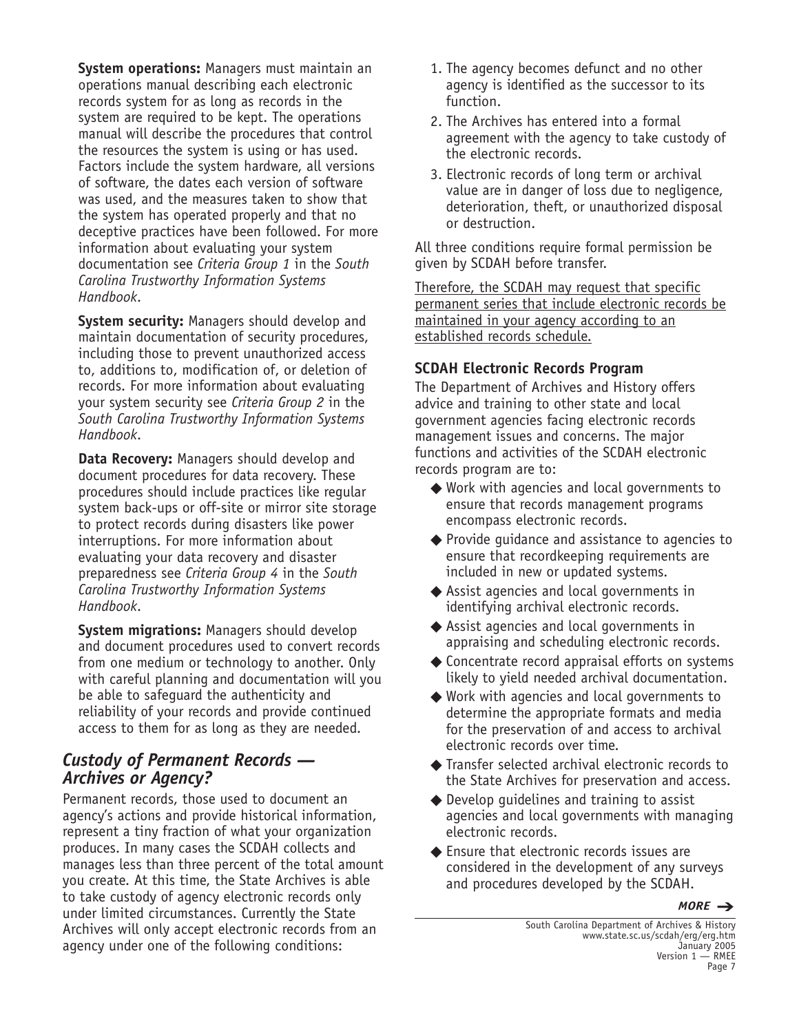**System operations:** Managers must maintain an operations manual describing each electronic records system for as long as records in the system are required to be kept. The operations manual will describe the procedures that control the resources the system is using or has used. Factors include the system hardware, all versions of software, the dates each version of software was used, and the measures taken to show that the system has operated properly and that no deceptive practices have been followed. For more information about evaluating your system documentation see *Criteria Group 1* in the *South Carolina Trustworthy Information Systems Handbook*.

**System security:** Managers should develop and maintain documentation of security procedures, including those to prevent unauthorized access to, additions to, modification of, or deletion of records. For more information about evaluating your system security see *Criteria Group 2* in the *South Carolina Trustworthy Information Systems Handbook*.

**Data Recovery:** Managers should develop and document procedures for data recovery. These procedures should include practices like regular system back-ups or off-site or mirror site storage to protect records during disasters like power interruptions. For more information about evaluating your data recovery and disaster preparedness see *Criteria Group 4* in the *South Carolina Trustworthy Information Systems Handbook*.

**System migrations:** Managers should develop and document procedures used to convert records from one medium or technology to another. Only with careful planning and documentation will you be able to safeguard the authenticity and reliability of your records and provide continued access to them for as long as they are needed.

# *Custody of Permanent Records — Archives or Agency?*

Permanent records, those used to document an agency's actions and provide historical information, represent a tiny fraction of what your organization produces. In many cases the SCDAH collects and manages less than three percent of the total amount you create. At this time, the State Archives is able to take custody of agency electronic records only under limited circumstances. Currently the State Archives will only accept electronic records from an agency under one of the following conditions:

- 1. The agency becomes defunct and no other agency is identified as the successor to its function.
- 2. The Archives has entered into a formal agreement with the agency to take custody of the electronic records.
- 3. Electronic records of long term or archival value are in danger of loss due to negligence, deterioration, theft, or unauthorized disposal or destruction.

All three conditions require formal permission be given by SCDAH before transfer.

Therefore, the SCDAH may request that specific permanent series that include electronic records be maintained in your agency according to an established records schedule.

### **SCDAH Electronic Records Program**

The Department of Archives and History offers advice and training to other state and local government agencies facing electronic records management issues and concerns. The major functions and activities of the SCDAH electronic records program are to:

- ◆ Work with agencies and local governments to ensure that records management programs encompass electronic records.
- ◆ Provide guidance and assistance to agencies to ensure that recordkeeping requirements are included in new or updated systems.
- ◆ Assist agencies and local governments in identifying archival electronic records.
- ◆ Assist agencies and local governments in appraising and scheduling electronic records.
- ◆ Concentrate record appraisal efforts on systems likely to yield needed archival documentation.
- ◆ Work with agencies and local governments to determine the appropriate formats and media for the preservation of and access to archival electronic records over time.
- ◆ Transfer selected archival electronic records to the State Archives for preservation and access.
- ◆ Develop quidelines and training to assist agencies and local governments with managing electronic records.
- ◆ Ensure that electronic records issues are considered in the development of any surveys and procedures developed by the SCDAH.

*MORE* ➔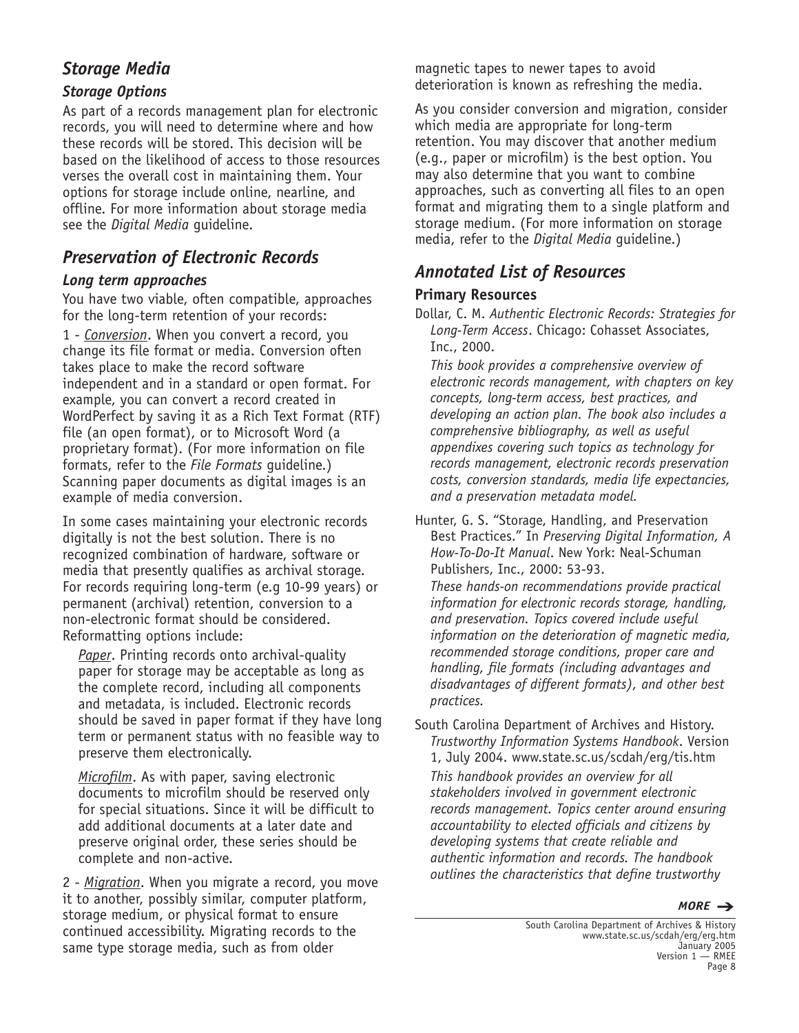# *Storage Media*

### *Storage Options*

As part of a records management plan for electronic records, you will need to determine where and how these records will be stored. This decision will be based on the likelihood of access to those resources verses the overall cost in maintaining them. Your options for storage include online, nearline, and offline. For more information about storage media see the *Digital Media* guideline.

# *Preservation of Electronic Records*

### *Long term approaches*

You have two viable, often compatible, approaches for the long-term retention of your records:

1 - *Conversion*. When you convert a record, you change its file format or media. Conversion often takes place to make the record software independent and in a standard or open format. For example, you can convert a record created in WordPerfect by saving it as a Rich Text Format (RTF) file (an open format), or to Microsoft Word (a proprietary format). (For more information on file formats, refer to the *File Formats* guideline.) Scanning paper documents as digital images is an example of media conversion.

In some cases maintaining your electronic records digitally is not the best solution. There is no recognized combination of hardware, software or media that presently qualifies as archival storage. For records requiring long-term (e.g 10-99 years) or permanent (archival) retention, conversion to a non-electronic format should be considered. Reformatting options include:

*Paper*. Printing records onto archival-quality paper for storage may be acceptable as long as the complete record, including all components and metadata, is included. Electronic records should be saved in paper format if they have long term or permanent status with no feasible way to preserve them electronically.

*Microfilm*. As with paper, saving electronic documents to microfilm should be reserved only for special situations. Since it will be difficult to add additional documents at a later date and preserve original order, these series should be complete and non-active.

2 - *Migration*. When you migrate a record, you move it to another, possibly similar, computer platform, storage medium, or physical format to ensure continued accessibility. Migrating records to the same type storage media, such as from older

magnetic tapes to newer tapes to avoid deterioration is known as refreshing the media.

As you consider conversion and migration, consider which media are appropriate for long-term retention. You may discover that another medium (e.g., paper or microfilm) is the best option. You may also determine that you want to combine approaches, such as converting all files to an open format and migrating them to a single platform and storage medium. (For more information on storage media, refer to the *Digital Media* guideline.)

# *Annotated List of Resources*

### **Primary Resources**

Dollar, C. M. *Authentic Electronic Records: Strategies for Long-Term Access*. Chicago: Cohasset Associates, Inc., 2000.

*This book provides a comprehensive overview of electronic records management, with chapters on key concepts, long-term access, best practices, and developing an action plan. The book also includes a comprehensive bibliography, as well as useful appendixes covering such topics as technology for records management, electronic records preservation costs, conversion standards, media life expectancies, and a preservation metadata model.*

Hunter, G. S. "Storage, Handling, and Preservation Best Practices." In *Preserving Digital Information, A How-To-Do-It Manual*. New York: Neal-Schuman Publishers, Inc., 2000: 53-93.

*These hands-on recommendations provide practical information for electronic records storage, handling, and preservation. Topics covered include useful information on the deterioration of magnetic media, recommended storage conditions, proper care and handling, file formats (including advantages and disadvantages of different formats), and other best practices.*

South Carolina Department of Archives and History. *Trustworthy Information Systems Handbook*. Version 1, July 2004. www.state.sc.us/scdah/erg/tis.htm *This handbook provides an overview for all stakeholders involved in government electronic records management. Topics center around ensuring accountability to elected officials and citizens by developing systems that create reliable and authentic information and records. The handbook outlines the characteristics that define trustworthy*